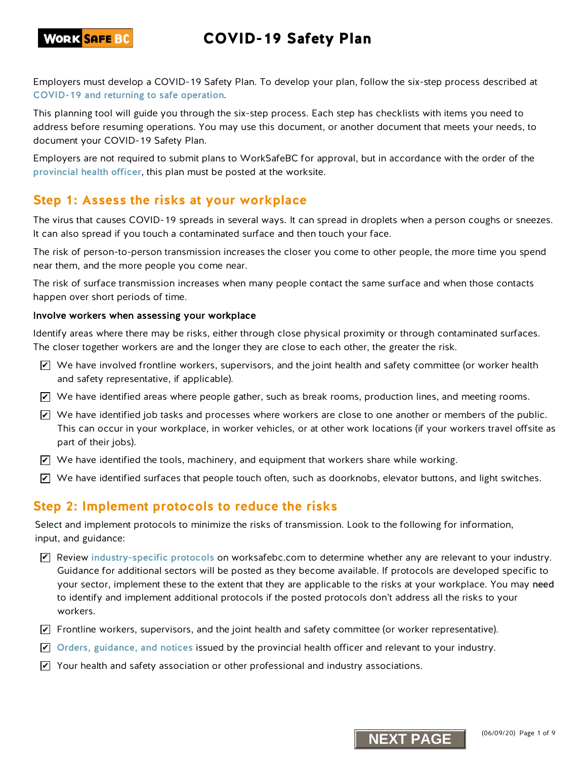Employers must develop a COVID-19 Safety Plan. To develop your plan, follow the six-step process described at [COVID-19 and returning to safe operation](https://www.worksafebc.com/en/about-us/covid-19-updates/covid-19-returning-safe-operation).

This planning tool will guide you through the six-step process. Each step has checklists with items you need to address before resuming operations. You may use this document, or another document that meets your needs, to document your COVID-19 Safety Plan.

Employers are not required to submit plans to WorkSafeBC for approval, but in accordance with the order of the provi[ncial health officer](https://www2.gov.bc.ca/gov/content/health/about-bc-s-health-care-system/office-of-the-provincial-health-officer/current-health-topics/covid-19-novel-coronavirus), this plan must be posted at the worksite.

## **Step 1: Assess the risks at your workplace**

The virus that causes COVID-19 spreads in several ways. It can spread in droplets when a person coughs or sneezes. It can also spread if you touch a contaminated surface and then touch your face.

The risk of person-to-person transmission increases the closer you come to other people, the more time you spend near them, and the more people you come near.

The risk of surface transmission increases when many people contact the same surface and when those contacts happen over short periods of time.

#### Involve workers when assessing your workplace

Identify areas where there may be risks, either through close physical proximity or through contaminated surfaces. The closer together workers are and the longer they are close to each other, the greater the risk.

- $\blacktriangleright$  We have involved frontline workers, supervisors, and the joint health and safety committee (or worker health and safety representative, if applicable).
- $\blacktriangleright$  We have identified areas where people gather, such as break rooms, production lines, and meeting rooms.
- $\blacktriangleright$  We have identified job tasks and processes where workers are close to one another or members of the public. This can occur in your workplace, in worker vehicles, or at other work locations (if your workers travel offsite as part of their jobs).
- $\blacktriangleright$  We have identified the tools, machinery, and equipment that workers share while working.
- $\blacktriangleright$  We have identified surfaces that people touch often, such as doorknobs, elevator buttons, and light switches.

### **Step 2: Implement protocols to reduce the risks**

Select and implement protocols to minimize the risks of transmission. Look to the following for information, input, and guidance:

- $\blacktriangledown$  Review [industry-specific protocols](https://www.worksafebc.com/en/about-us/covid-19-updates/covid-19-returning-safe-operation) on worksafebc.com to determine whether any are relevant to your industry. Guidance for additional sectors will be posted as they become available. If protocols are developed specific to your sector, implement these to the extent that they are applicable to the risks at your workplace. You may need to identify and implement additional protocols if the posted protocols don't address all the risks to your workers.
- $\blacktriangleright$  Frontline workers, supervisors, and the joint health and safety committee (or worker representative).
- $\blacktriangleright$  [Orders, guidance, and notices](https://www2.gov.bc.ca/gov/content/health/about-bc-s-health-care-system/office-of-the-provincial-health-officer/current-health-topics/covid-19-novel-coronavirus) issued by the provincial health officer and relevant to your industry.
- $\blacktriangleright$  Your health and safety association or other professional and industry associations.

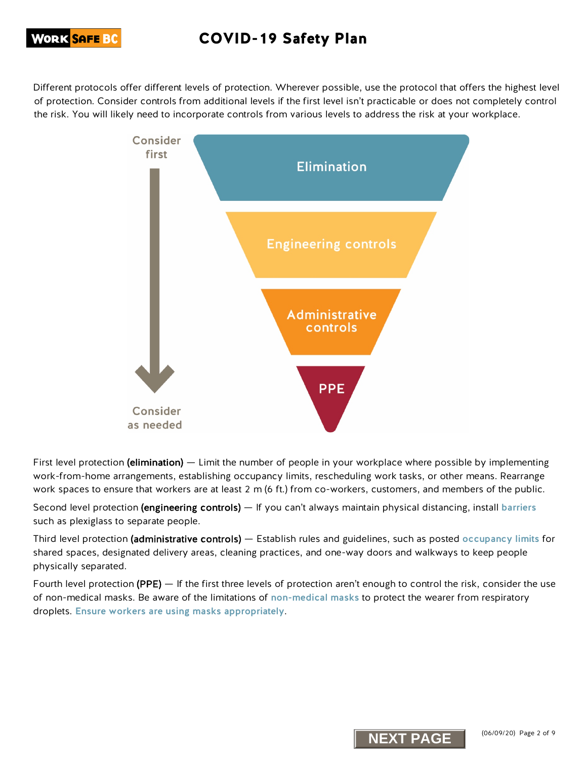## **WORK <mark>SAFE B</mark>C**

# COVID-19 Safety Plan

Different protocols offer different levels of protection. Wherever possible, use the protocol that offers the highest level of protection. Consider controls from additional levels if the first level isn't practicable or does not completely control the risk. You will likely need to incorporate controls from various levels to address the risk at your workplace.



First level protection (elimination) — Limit the number of people in your workplace where possible by implementing work-from-home arrangements, establishing occupancy limits, rescheduling work tasks, or other means. Rearrange work spaces to ensure that workers are at least 2 m (6 ft.) from co-workers, customers, and members of the public.

Second level protection (engineering controls) — If you can't always maintain physical distancing, install [barriers](https://www.worksafebc.com/en/resources/health-safety/information-sheets/covid-19-health-safety-designing-effective-barriers?lang=en) such as plexiglass to separate people.

Third level protection (administrative controls) — Establish rules and guidelines, such as posted [occupancy limits](https://www.worksafebc.com/en/resources/health-safety/posters/help-prevent-spread-covid-19-occupancy-limit?lang=en) for shared spaces, designated delivery areas, cleaning practices, and one-way doors and walkways to keep people physically separated.

Fourth level protection (PPE) — If the first three levels of protection aren't enough to control the risk, consider the use of non-medical masks. Be aware of the limitations of [non-medical masks](https://www.worksafebc.com/en/resources/health-safety/information-sheets/covid-19-health-safety-selecting-using-masks?lang=en) to protect the wearer from respiratory droplets. [Ensure workers are using masks appropriately](https://www.worksafebc.com/en/resources/health-safety/posters/help-prevent-spread-covid-19-how-to-use-mask?lang=en).

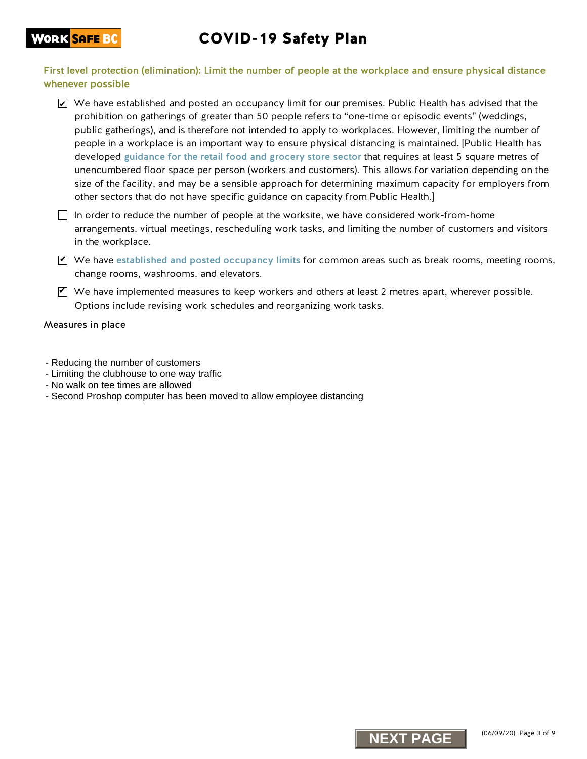### **WORK <mark>SAFE BC</mark>**

# COVID-19 Safety Plan

First level protection (elimination): Limit the number of people at the workplace and ensure physical distance whenever possible

- $\blacktriangleright$  We have established and posted an occupancy limit for our premises. Public Health has advised that the prohibition on gatherings of greater than 50 people refers to "one-time or episodic events" (weddings, public gatherings), and is therefore not intended to apply to workplaces. However, limiting the number of people in a workplace is an important way to ensure physical distancing is maintained. [Public Health has developed gui[dance for the retail food and grocery store sector](https://www2.gov.bc.ca/assets/gov/health/about-bc-s-health-care-system/office-of-the-provincial-health-officer/covid-19/guidance_to_grocery_stores_april_25_final.pdf) that requires at least 5 square metres of unencumbered floor space per person (workers and customers). This allows for variation depending on the size of the facility, and may be a sensible approach for determining maximum capacity for employers from other sectors that do not have specific guidance on capacity from Public Health.]
- $\Box$  In order to reduce the number of people at the worksite, we have considered work-from-home arrangements, virtual meetings, rescheduling work tasks, and limiting the number of customers and visitors in the workplace.
- $\Psi$  We have [established and posted occupancy limits](http://www.worksafebc.com/en/resources/health-safety/posters/help-prevent-spread-covid-19-occupancy-limit?lang=en) for common areas such as break rooms, meeting rooms, change rooms, washrooms, and elevators.
- $\blacktriangledown$  We have implemented measures to keep workers and others at least 2 metres apart, wherever possible. Options include revising work schedules and reorganizing work tasks.

- Reducing the number of customers
- Limiting the clubhouse to one way traffic
- No walk on tee times are allowed
- Second Proshop computer has been moved to allow employee distancing

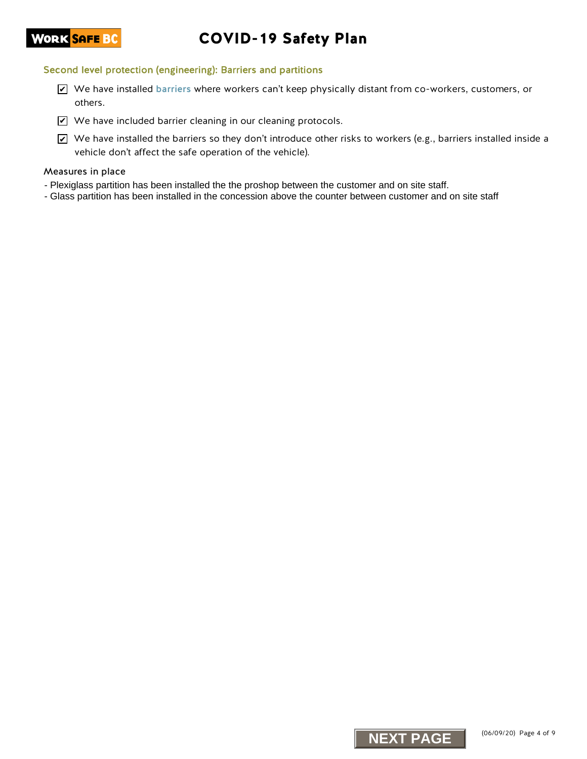# COVID-19 Safety Plan

#### Second level protection (engineering): Barriers and partitions

- We have installed [barriers](https://www.worksafebc.com/en/resources/health-safety/information-sheets/covid-19-health-safety-designing-effective-barriers?lang=en) where workers can't keep physically distant from co-workers, customers, or others.
- $\blacktriangleright$  We have included barrier cleaning in our cleaning protocols.
- $\blacktriangleright$  We have installed the barriers so they don't introduce other risks to workers (e.g., barriers installed inside a vehicle don't affect the safe operation of the vehicle).  $Z$  We have installed barriers where workers can't keep physically distant from co-work<br>  $Z$  We have included tharrier cleaning in our cleaning protocols.<br>
Σ we have included tharriers changing our cleaning protocols<br>
ass

- Plexiglass partition has been installed the the proshop between the customer and on site staff.
- Glass partition has been installed in the concession above the counter between customer and on site staff

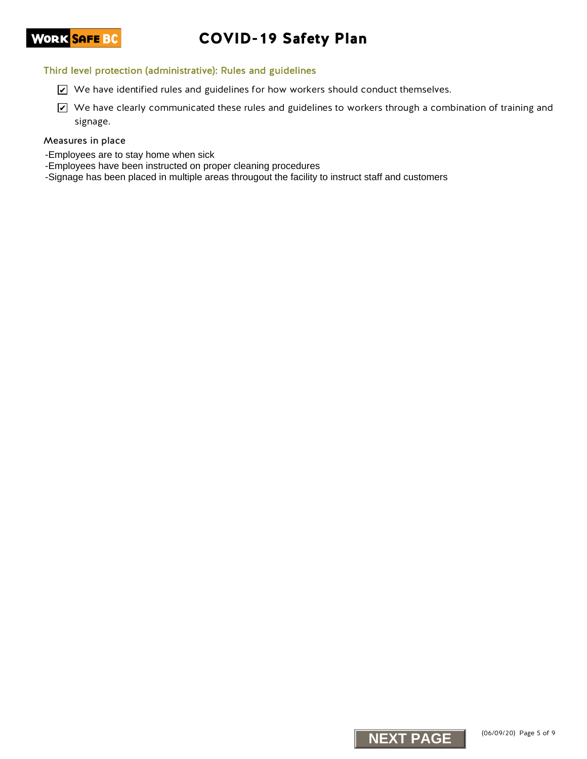# COVID-19 Safety Plan

#### Third level protection (administrative): Rules and guidelines

- $\triangleright$  We have identified rules and guidelines for how workers should conduct themselves.
- $\blacktriangleright$  We have clearly communicated these rules and guidelines to workers through a combination of training and signage.  $X$  We have identified rules and guidelines for how workers should conduct themselves.<br>
NEXT PAGE<br>
NEXT PAGE<br>
Notions to have a clearly communicated these rules and guidelines to workers through a communicated<br>
surange,<br>

- -Employees are to stay home when sick
- -Employees have been instructed on proper cleaning procedures
- -Signage has been placed in multiple areas througout the facility to instruct staff and customers

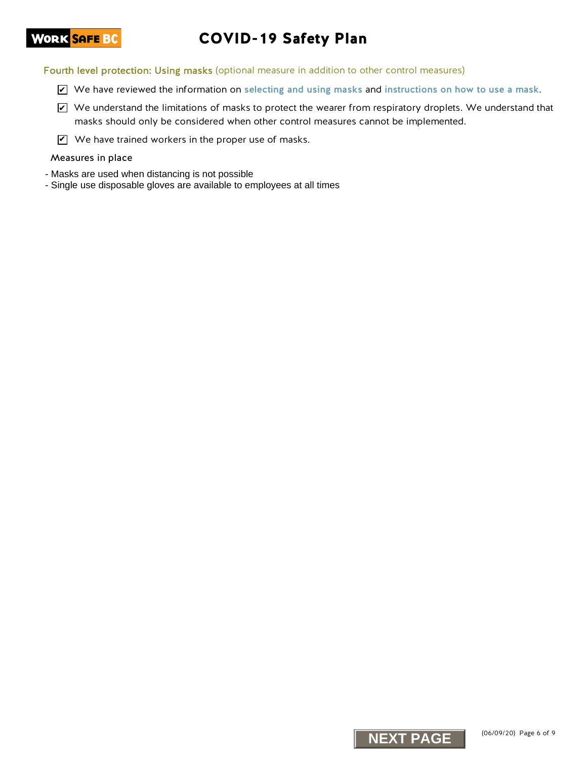# COVID-19 Safety Plan

Fourth level protection: Using masks (optional measure in addition to other control measures)

- We have reviewed the information on [selecting and using masks](https://www.worksafebc.com/en/resources/health-safety/information-sheets/covid-19-health-safety-selecting-using-masks?lang=en) and [instructions on how to use a mask](https://www.worksafebc.com/en/resources/health-safety/posters/help-prevent-spread-covid-19-how-to-use-mask?lang=en).
- $\blacktriangleright$  We understand the limitations of masks to protect the wearer from respiratory droplets. We understand that masks should only be considered when other control measures cannot be implemented. Ne have reviewed the information on selecting and using masks and instructions on<br>EV the vacuum of the formation of masks to protect the wearer from respiratory drople<br>makes should only be considered when other control mea
- $\mathbf{V}$  We have trained workers in the proper use of masks.

- Masks are used when distancing is not possible
- Single use disposable gloves are available to employees at all times

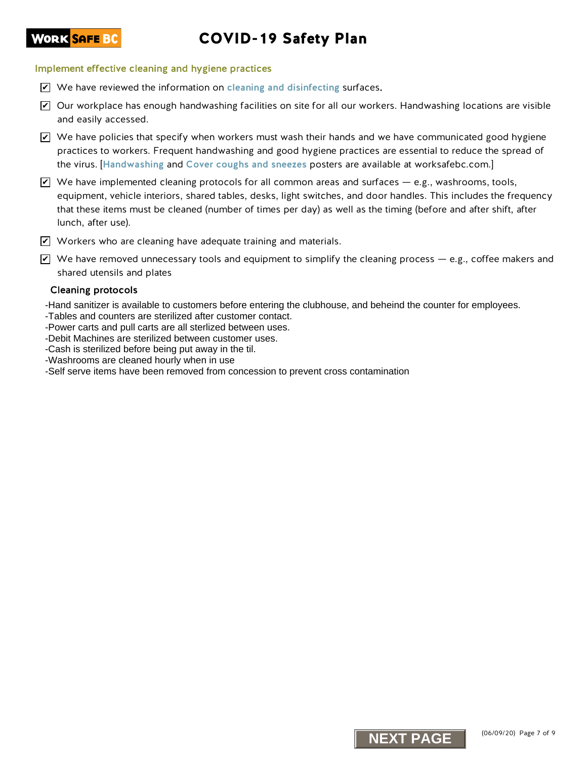# COVID-19 Safety Plan

#### Implement effective cleaning and hygiene practices

- $\triangledown$  We have reviewed the information on [cleaning and disinfecting](https://www.worksafebc.com/en/resources/health-safety/information-sheets/covid-19-health-safety-cleaning-disinfecting?lang=en) surfaces.
- $\blacktriangleright$  Our workplace has enough handwashing facilities on site for all our workers. Handwashing locations are visible and easily accessed.
- $\blacktriangleright$  We have policies that specify when workers must wash their hands and we have communicated good hygiene practices to workers. Frequent handwashing and good hygiene practices are essential to reduce the spread of the virus. [[Handwashing](https://www.worksafebc.com/en/resources/health-safety/posters/help-prevent-spread-covid-19-handwashing?lang=en) and [Cover coughs and sneezes](https://www.worksafebc.com/en/resources/health-safety/posters/help-prevent-spread-covid-19-cover-coughs-sneezes?lang=en) posters are available at worksafebc.com.]
- $\blacktriangleright$  We have implemented cleaning protocols for all common areas and surfaces e.g., washrooms, tools, equipment, vehicle interiors, shared tables, desks, light switches, and door handles. This includes the frequency that these items must be cleaned (number of times per day) as well as the timing (before and after shift, after lunch, after use). **Not have reviewed the information on cleaning and disinterioring surfaces.**<br>
Not have reviewed the internal of the main start of the start of the start of the start of the start of the start of the start of the start of t
- $\blacktriangledown$  Workers who are cleaning have adequate training and materials.
- $\blacktriangledown$  We have removed unnecessary tools and equipment to simplify the cleaning process e.g., coffee makers and shared utensils and plates

#### Cleaning protocols

**WORK <mark>SAFE BC</mark>** 

- -Hand sanitizer is available to customers before entering the clubhouse, and beheind the counter for employees.
- -Tables and counters are sterilized after customer contact.
- -Power carts and pull carts are all sterlized between uses.
- -Debit Machines are sterilized between customer uses.
- -Cash is sterilized before being put away in the til.
- -Washrooms are cleaned hourly when in use
- -Self serve items have been removed from concession to prevent cross contamination

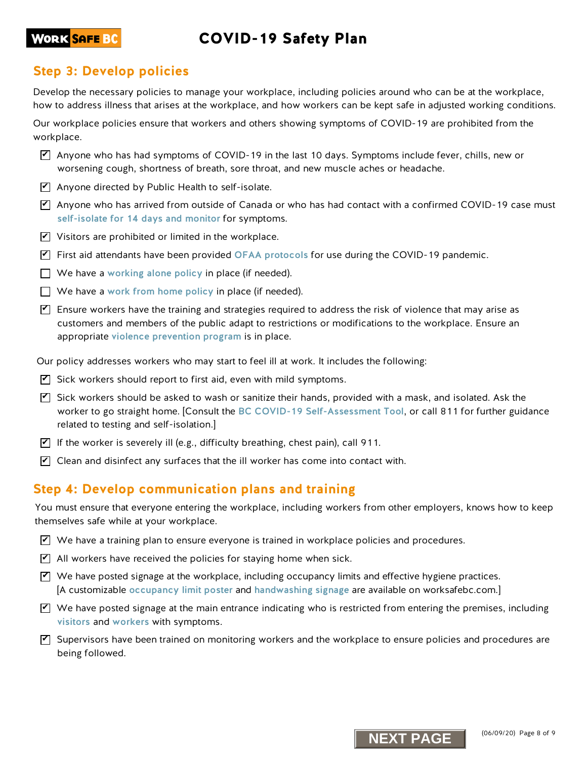# COVID-19 Safety Plan

### **WORK <mark>SAFE BC</mark>**

## **Step 3: Develop policies**

Develop the necessary policies to manage your workplace, including policies around who can be at the workplace, how to address illness that arises at the workplace, and how workers can be kept safe in adjusted working conditions.

Our workplace policies ensure that workers and others showing symptoms of COVID-19 are prohibited from the workplace.

- $\triangledown$  Anyone who has had symptoms of COVID-19 in the last 10 days. Symptoms include fever, chills, new or worsening cough, shortness of breath, sore throat, and new muscle aches or headache.
- $\Psi$  Anyone directed by Public Health to self-isolate.
- $\Psi$  Anyone who has arrived from outside of Canada or who has had contact with a confirmed COVID-19 case must [self-isolate for 14 days and monitor](http://www.bccdc.ca/health-info/diseases-conditions/covid-19/self-isolation) for symptoms.
- $\mathbf{V}$  Visitors are prohibited or limited in the workplace.
- $\blacktriangledown$  First aid attendants have been provided [OFAA protocols](https://www.worksafebc.com/en/resources/health-safety/information-sheets/ofaa-protocols-covid-19-pandemic?lang=en) for use during the COVID-19 pandemic.
- $\Box$  We have a [working alone policy](https://www.worksafebc.com/en/health-safety/hazards-exposures/working-alone) in place (if needed).
- $\Box$  We have a [work from home policy](https://www.worksafebc.com/en/resources/health-safety/information-sheets/working-from-home-guide-keeping-workers-healthy-safe?lang=en) in place (if needed).
- $\blacktriangledown$  Ensure workers have the training and strategies required to address the risk of violence that may arise as customers and members of the public adapt to restrictions or modifications to the workplace. Ensure an appropriate [violence prevention program](https://www.worksafebc.com/en/health-safety/hazards-exposures/violence) is in place. **N** Anyone who has had symptoms of COVID-19 in the last 10 days. Symptoms include few the stationary in the last 10 days Symptoms include the method of Canada or who has had contact with a confirmed whose streaking couply,
- Our policy addresses workers who may start to feel ill at work. It includes the following:
- $\mathbf Z$  Sick workers should report to first aid, even with mild symptoms.
- $\blacktriangledown$  Sick workers should be asked to wash or sanitize their hands, provided with a mask, and isolated. Ask the worker to go straight home. [Consult the [BC COVID-19 Self-Assessment Tool](https://bc.thrive.health/), or call 811 for further guidance related to testing and self-isolation.]
- $\blacktriangledown$  If the worker is severely ill (e.g., difficulty breathing, chest pain), call 911.
- $\overline{\mathbf{Y}}$  Clean and disinfect any surfaces that the ill worker has come into contact with.

### **Step 4: Develop communication plans and training**

You must ensure that everyone entering the workplace, including workers from other employers, knows how to keep themselves safe while at your workplace.

- $\overline{\blacktriangle}$  We have a training plan to ensure everyone is trained in workplace policies and procedures.
- $\mathbf Z$  All workers have received the policies for staying home when sick.
- $\Psi$  We have posted signage at the workplace, including occupancy limits and effective hygiene practices. [A customizable [occupancy limit poster](https://www.worksafebc.com/en/resources/health-safety/posters/help-prevent-spread-covid-19-occupancy-limit?lang=en) and [handwashing signage](https://www.worksafebc.com/en/resources/health-safety/posters/help-prevent-spread-covid-19-handwashing?lang=en) are available on worksafebc.com.]
- $\bm{\triangledown}$  We have posted signage at the main entrance indicating who is restricted from entering the premises, including [visitors](https://www.worksafebc.com/en/resources/health-safety/posters/help-prevent-spread-covid-19-entry-check-visitors?lang=en) and [workers](https://www.worksafebc.com/en/resources/health-safety/posters/help-prevent-spread-covid-19-entry-check-workers?lang=en) with symptoms.
- $\blacktriangledown$  Supervisors have been trained on monitoring workers and the workplace to ensure policies and procedures are being followed.